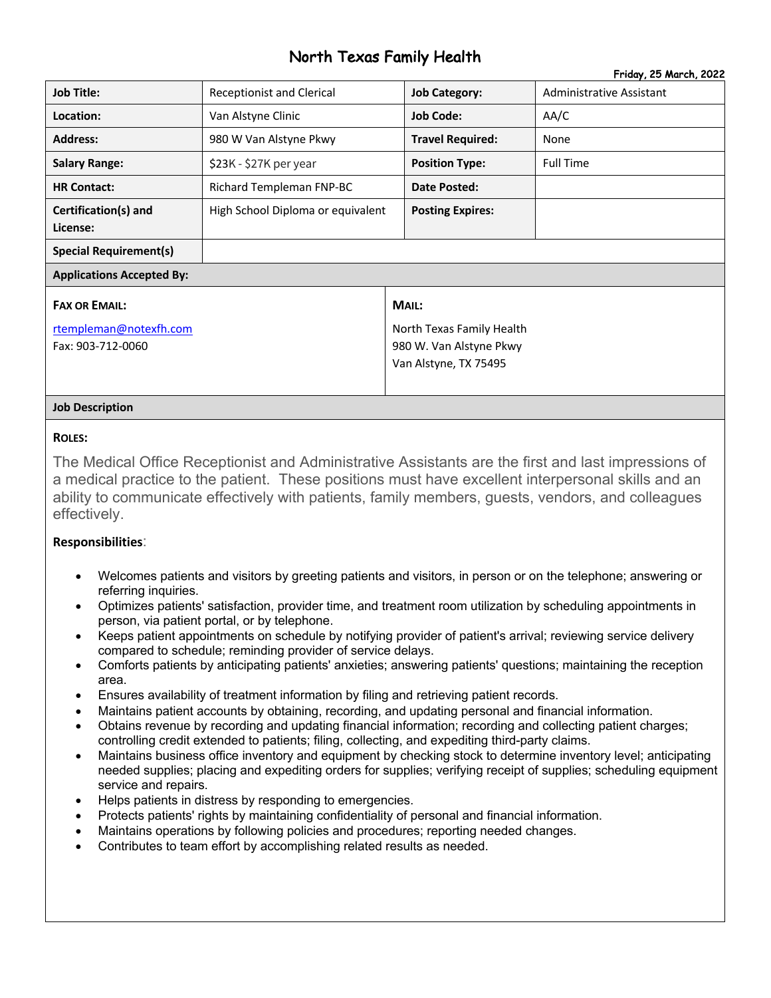# North Texas Family Health Friday, 25 March, 2022

|                                                                     |                                   |                                                                                        | Friday, 20 March, 2022   |  |
|---------------------------------------------------------------------|-----------------------------------|----------------------------------------------------------------------------------------|--------------------------|--|
| <b>Job Title:</b>                                                   | <b>Receptionist and Clerical</b>  | <b>Job Category:</b>                                                                   | Administrative Assistant |  |
| Location:                                                           | Van Alstyne Clinic                | <b>Job Code:</b>                                                                       | AA/C                     |  |
| <b>Address:</b>                                                     | 980 W Van Alstyne Pkwy            | <b>Travel Required:</b>                                                                | None                     |  |
| <b>Salary Range:</b>                                                | \$23K - \$27K per year            | <b>Position Type:</b>                                                                  | <b>Full Time</b>         |  |
| <b>HR Contact:</b>                                                  | Richard Templeman FNP-BC          | <b>Date Posted:</b>                                                                    |                          |  |
| Certification(s) and<br>License:                                    | High School Diploma or equivalent | <b>Posting Expires:</b>                                                                |                          |  |
| <b>Special Requirement(s)</b>                                       |                                   |                                                                                        |                          |  |
| <b>Applications Accepted By:</b>                                    |                                   |                                                                                        |                          |  |
| <b>FAX OR EMAIL:</b><br>rtempleman@notexfh.com<br>Fax: 903-712-0060 |                                   | MAIL:<br>North Texas Family Health<br>980 W. Van Alstyne Pkwy<br>Van Alstyne, TX 75495 |                          |  |

#### **Job Description**

#### **ROLES:**

The Medical Office Receptionist and Administrative Assistants are the first and last impressions of a medical practice to the patient. These positions must have excellent interpersonal skills and an ability to communicate effectively with patients, family members, guests, vendors, and colleagues effectively.

#### **Responsibilities**:

- Welcomes patients and visitors by greeting patients and visitors, in person or on the telephone; answering or referring inquiries.
- Optimizes patients' satisfaction, provider time, and treatment room utilization by scheduling appointments in person, via patient portal, or by telephone.
- Keeps patient appointments on schedule by notifying provider of patient's arrival; reviewing service delivery compared to schedule; reminding provider of service delays.
- Comforts patients by anticipating patients' anxieties; answering patients' questions; maintaining the reception area.
- Ensures availability of treatment information by filing and retrieving patient records.
- Maintains patient accounts by obtaining, recording, and updating personal and financial information.
- Obtains revenue by recording and updating financial information; recording and collecting patient charges; controlling credit extended to patients; filing, collecting, and expediting third-party claims.
- Maintains business office inventory and equipment by checking stock to determine inventory level; anticipating needed supplies; placing and expediting orders for supplies; verifying receipt of supplies; scheduling equipment service and repairs.
- Helps patients in distress by responding to emergencies.
- Protects patients' rights by maintaining confidentiality of personal and financial information.
- Maintains operations by following policies and procedures; reporting needed changes.
- Contributes to team effort by accomplishing related results as needed.